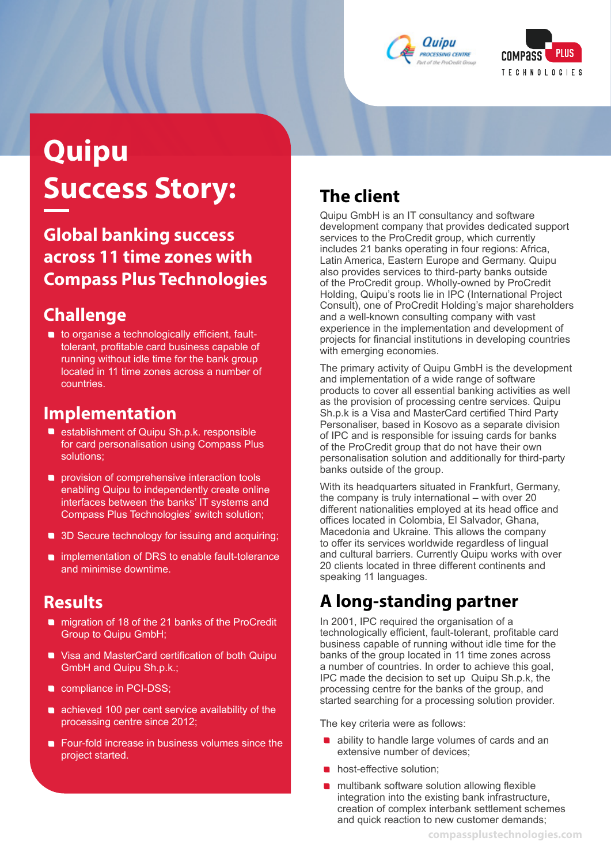



# **Quipu Success Story:**

### **Global banking success across 11 time zones with Compass Plus Technologies**

#### **Challenge**

**• to organise a technologically efficient, fault**tolerant, profitable card business capable of running without idle time for the bank group located in 11 time zones across a number of countries.

#### **Implementation**

- **•** establishment of Quipu Sh.p.k. responsible for card personalisation using Compass Plus solutions;
- **•** provision of comprehensive interaction tools enabling Quipu to independently create online interfaces between the banks' IT systems and Compass Plus Technologies' switch solution;
- 3D Secure technology for issuing and acquiring;
- implementation of DRS to enable fault-tolerance and minimise downtime.

#### **Results**

- **n** migration of 18 of the 21 banks of the ProCredit Group to Quipu GmbH;
- **Visa and MasterCard certification of both Quipu** GmbH and Quipu Sh.p.k.;
- **compliance in PCI-DSS;**
- **•** achieved 100 per cent service availability of the processing centre since 2012;
- **•** Four-fold increase in business volumes since the project started.

# **The client**

Quipu GmbH is an IT consultancy and software development company that provides dedicated support services to the ProCredit group, which currently includes 21 banks operating in four regions: Africa, Latin America, Eastern Europe and Germany. Quipu also provides services to third-party banks outside of the ProCredit group. Wholly-owned by ProCredit Holding, Quipu's roots lie in IPC (International Project Consult), one of ProCredit Holding's major shareholders and a well-known consulting company with vast experience in the implementation and development of projects for financial institutions in developing countries with emerging economies.

The primary activity of Quipu GmbH is the development and implementation of a wide range of software products to cover all essential banking activities as well as the provision of processing centre services. Quipu Sh.p.k is a Visa and MasterCard certified Third Party Personaliser, based in Kosovo as a separate division of IPC and is responsible for issuing cards for banks of the ProCredit group that do not have their own personalisation solution and additionally for third-party banks outside of the group.

With its headquarters situated in Frankfurt, Germany, the company is truly international – with over 20 different nationalities employed at its head office and offices located in Colombia, El Salvador, Ghana, Macedonia and Ukraine. This allows the company to offer its services worldwide regardless of lingual and cultural barriers. Currently Quipu works with over 20 clients located in three different continents and speaking 11 languages.

# **A long-standing partner**

In 2001, IPC required the organisation of a technologically efficient, fault-tolerant, profitable card business capable of running without idle time for the banks of the group located in 11 time zones across a number of countries. In order to achieve this goal, IPC made the decision to set up Quipu Sh.p.k, the processing centre for the banks of the group, and started searching for a processing solution provider.

The key criteria were as follows:

- **•** ability to handle large volumes of cards and an extensive number of devices;
- host-effective solution;
- multibank software solution allowing flexible integration into the existing bank infrastructure, creation of complex interbank settlement schemes and quick reaction to new customer demands;